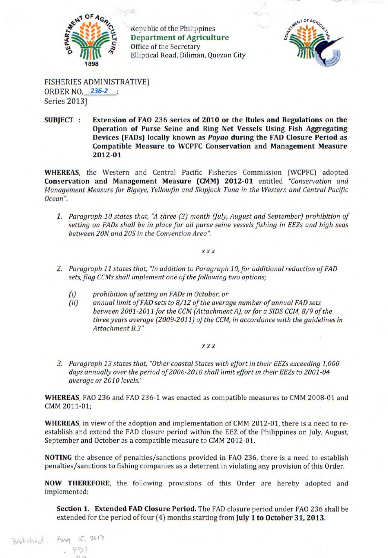

Republic of the Philippines **Department of Agriculture**  Office of the Secretary Elliptical Road, Diliman, Quezon City



FISHERIES ADMINISTRATIVE) ORDER NO. 236-2 Series 2013)

Published: Ang 15, 2013

**SUBJECT : Extension of FAO 236 series of 2010 or the Rules and Regulations on the Operation of Purse Seine and Ring Net Vessels Using Fish Aggregating Devices (FADs) locally known as** *Payao* **during the FAD Closure Period as Compatible Measure to WCPFC Conservation and Management Measure 2012-01** 

**WHEREAS,** the Western and Central Pacific Fisheries Commission (WCPFC) adopted **Conservation and Management Measure (CMM) 2012-01** entitled *"Conservation and Management Measure for Bigeye, Yellowfin and Skipjack Tuna in the Western and Central Pacific Ocean".* 

*1. Paragraph 10 states that, "A three (3) month (July, August and September) prohibition of setting on FADs shall be in place for all purse seine vessels fishing in EEZs and high seas between 20N and 20S in the Convention Area"* 

## *xxx*

- 2. Paragraph 11 states that, "In addition to Paragraph 10, for additional reduction of FAD *sets, flag CCMs shall implement one of the following two options;* 
	- *(i) prohibition of setting on FADs in October, or*
	- *(ii) annual limit of FAD sets to 8/12 of the average number of annual FAD sets between 2001-2011 for the CCM (Attachment A), or for a SIDS CCM, 8/9 of the three years average (2009-2011) of the CCM, in accordance with the guidelines in Attachment B.3"*

## *xxx*

*3. Paragraph 13 states that, "Other coastal States with effort in their EEZs exceeding 1,000 days annually over the period of2006-2010 shall limit effort in their EEZs to 2001-04 average or 2010 levels."* 

**WHEREAS,** FAO 236 and FAO 236-1 was enacted as compatible measures to CMM 2008-01 and CMM 2011-01;

**WHEREAS,** in view of the adoption and implementation of CMM 2012-01, there is a need to reestablish and extend the FAD closure period within the EEZ of the Philippines on July, August, September and October as a compatible measure to CMM 2012-01.

NOTING the absence of penalties/sanctions provided in FAO 236, there is a need to establish penalties/sanctions to fishing companies as a deterrent in violating any provision of this Order.

**NOW THEREFORE,** the following provisions of this Order are hereby adopted and implemented:

**Section 1. Extended FAD Closure Period.** The FAD closure period under FAO 236 shall be extended for the period of four (4) months starting from **July 1 to October 31, 2013.**